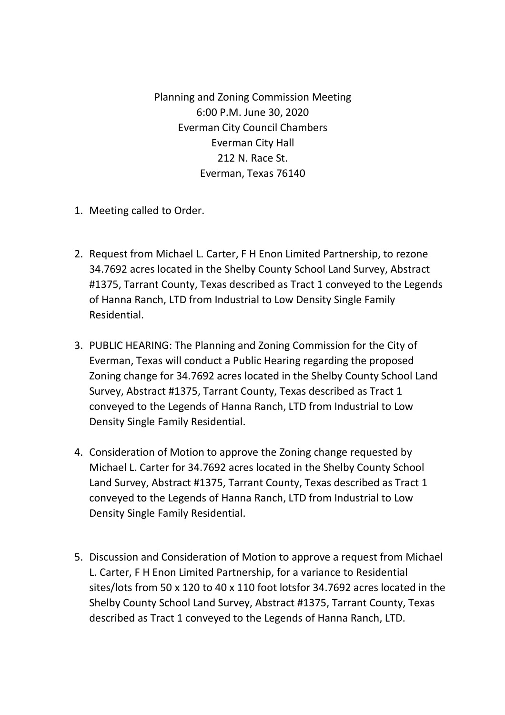Planning and Zoning Commission Meeting 6:00 P.M. June 30, 2020 Everman City Council Chambers Everman City Hall 212 N. Race St. Everman, Texas 76140

- 1. Meeting called to Order.
- 2. Request from Michael L. Carter, F H Enon Limited Partnership, to rezone 34.7692 acres located in the Shelby County School Land Survey, Abstract #1375, Tarrant County, Texas described as Tract 1 conveyed to the Legends of Hanna Ranch, LTD from Industrial to Low Density Single Family Residential.
- 3. PUBLIC HEARING: The Planning and Zoning Commission for the City of Everman, Texas will conduct a Public Hearing regarding the proposed Zoning change for 34.7692 acres located in the Shelby County School Land Survey, Abstract #1375, Tarrant County, Texas described as Tract 1 conveyed to the Legends of Hanna Ranch, LTD from Industrial to Low Density Single Family Residential.
- 4. Consideration of Motion to approve the Zoning change requested by Michael L. Carter for 34.7692 acres located in the Shelby County School Land Survey, Abstract #1375, Tarrant County, Texas described as Tract 1 conveyed to the Legends of Hanna Ranch, LTD from Industrial to Low Density Single Family Residential.
- 5. Discussion and Consideration of Motion to approve a request from Michael L. Carter, F H Enon Limited Partnership, for a variance to Residential sites/lots from 50 x 120 to 40 x 110 foot lotsfor 34.7692 acres located in the Shelby County School Land Survey, Abstract #1375, Tarrant County, Texas described as Tract 1 conveyed to the Legends of Hanna Ranch, LTD.